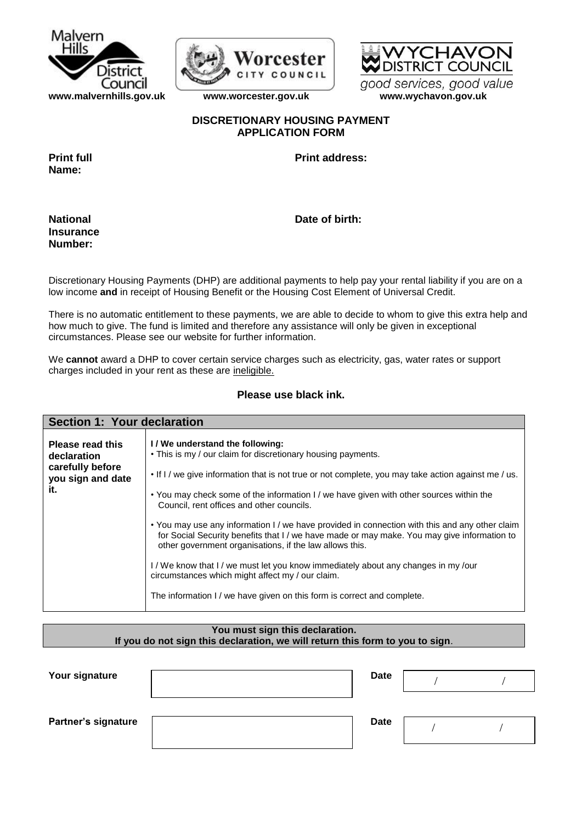



# **DISTRICT COUNCIL** good services, good value

**[www.malvernhills.gov.uk](http://www.malvernhills.gov.uk/) [www.worcester.gov.uk](http://www.worcester.gov.uk/) www.wychavon.gov.uk** 

## **DISCRETIONARY HOUSING PAYMENT APPLICATION FORM**

**Name:**

**Print full Print address:**

**Insurance Number:**

**National Date of birth:** 

Discretionary Housing Payments (DHP) are additional payments to help pay your rental liability if you are on a low income **and** in receipt of Housing Benefit or the Housing Cost Element of Universal Credit.

There is no automatic entitlement to these payments, we are able to decide to whom to give this extra help and how much to give. The fund is limited and therefore any assistance will only be given in exceptional circumstances. Please see our website for further information.

We **cannot** award a DHP to cover certain service charges such as electricity, gas, water rates or support charges included in your rent as these are ineligible.

## **Please use black ink.**

| Section 1: Your declaration                                                            |                                                                                                                                                                                                                                                                                                                                                                                                                                                                                                                                                                                                                                                                                                                                                                                                                           |
|----------------------------------------------------------------------------------------|---------------------------------------------------------------------------------------------------------------------------------------------------------------------------------------------------------------------------------------------------------------------------------------------------------------------------------------------------------------------------------------------------------------------------------------------------------------------------------------------------------------------------------------------------------------------------------------------------------------------------------------------------------------------------------------------------------------------------------------------------------------------------------------------------------------------------|
| <b>Please read this</b><br>declaration<br>carefully before<br>you sign and date<br>it. | I/We understand the following:<br>• This is my / our claim for discretionary housing payments.<br>. If I / we give information that is not true or not complete, you may take action against me / us.<br>• You may check some of the information I / we have given with other sources within the<br>Council, rent offices and other councils.<br>• You may use any information I / we have provided in connection with this and any other claim<br>for Social Security benefits that I / we have made or may make. You may give information to<br>other government organisations, if the law allows this.<br>I/We know that I/we must let you know immediately about any changes in my/our<br>circumstances which might affect my / our claim.<br>The information I / we have given on this form is correct and complete. |

| You must sign this declaration.                                               |  |
|-------------------------------------------------------------------------------|--|
| If you do not sign this declaration, we will return this form to you to sign. |  |

| Your signature             | Date |  |
|----------------------------|------|--|
| <b>Partner's signature</b> | Date |  |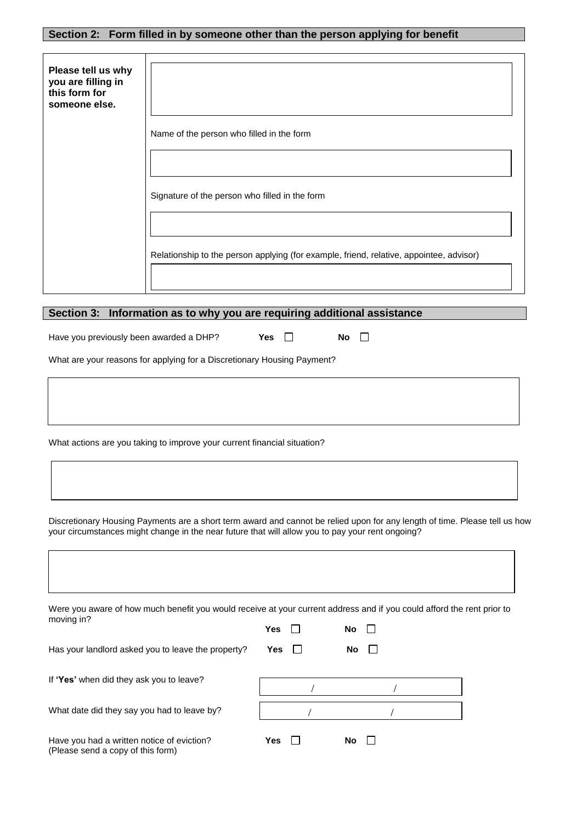## **Section 2: Form filled in by someone other than the person applying for benefit**

| Please tell us why<br>you are filling in<br>this form for<br>someone else. |                                                                                         |
|----------------------------------------------------------------------------|-----------------------------------------------------------------------------------------|
|                                                                            | Name of the person who filled in the form                                               |
|                                                                            |                                                                                         |
|                                                                            | Signature of the person who filled in the form                                          |
|                                                                            |                                                                                         |
|                                                                            | Relationship to the person applying (for example, friend, relative, appointee, advisor) |
|                                                                            |                                                                                         |

# **Section 3: Information as to why you are requiring additional assistance**

Have you previously been awarded a DHP? **Yes No**

What are your reasons for applying for a Discretionary Housing Payment?

What actions are you taking to improve your current financial situation?

Discretionary Housing Payments are a short term award and cannot be relied upon for any length of time. Please tell us how your circumstances might change in the near future that will allow you to pay your rent ongoing?

| Were you aware of how much benefit you would receive at your current address and if you could afford the rent prior to |     |    |  |
|------------------------------------------------------------------------------------------------------------------------|-----|----|--|
| moving in?                                                                                                             | Yes | No |  |
| Has your landlord asked you to leave the property?                                                                     | Yes | No |  |
| If 'Yes' when did they ask you to leave?                                                                               |     |    |  |
| What date did they say you had to leave by?                                                                            |     |    |  |
| Have you had a written notice of eviction?<br>(Please send a copy of this form)                                        | Yes | No |  |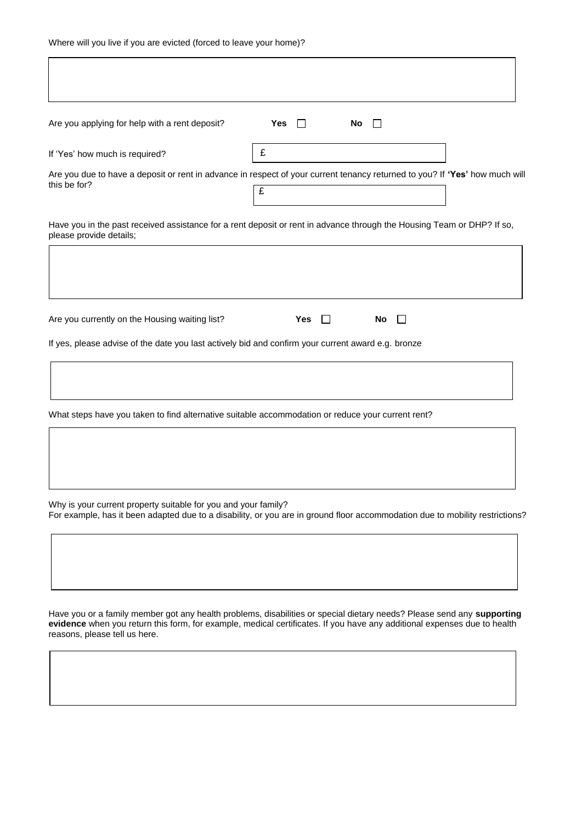| Are you applying for help with a rent deposit?                                                                                                    | Yes                   | No |  |
|---------------------------------------------------------------------------------------------------------------------------------------------------|-----------------------|----|--|
| If 'Yes' how much is required?                                                                                                                    | £                     |    |  |
| Are you due to have a deposit or rent in advance in respect of your current tenancy returned to you? If 'Yes' how much will<br>this be for?       | £                     |    |  |
| Have you in the past received assistance for a rent deposit or rent in advance through the Housing Team or DHP? If so,<br>please provide details; |                       |    |  |
|                                                                                                                                                   |                       |    |  |
| Are you currently on the Housing waiting list?                                                                                                    | <b>Yes</b><br>$\perp$ | No |  |
| If yes, please advise of the date you last actively bid and confirm your current award e.g. bronze                                                |                       |    |  |
|                                                                                                                                                   |                       |    |  |
| What steps have you taken to find alternative suitable accommodation or reduce your current rent?                                                 |                       |    |  |
|                                                                                                                                                   |                       |    |  |
|                                                                                                                                                   |                       |    |  |

Why is your current property suitable for you and your family? For example, has it been adapted due to a disability, or you are in ground floor accommodation due to mobility restrictions?

Have you or a family member got any health problems, disabilities or special dietary needs? Please send any **supporting evidence** when you return this form, for example, medical certificates. If you have any additional expenses due to health reasons, please tell us here.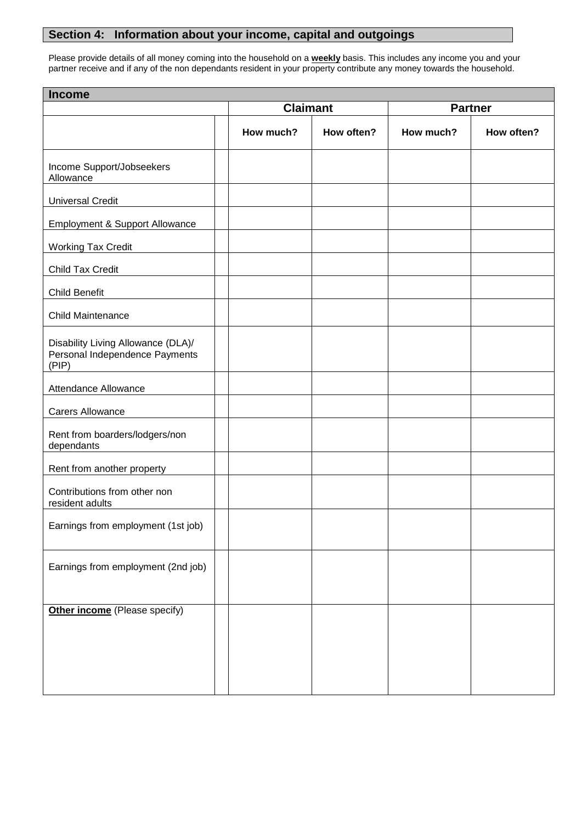## **Section 4: Information about your income, capital and outgoings**

Please provide details of all money coming into the household on a **weekly** basis. This includes any income you and your partner receive and if any of the non dependants resident in your property contribute any money towards the household.

| <b>Income</b>                                                                 |  |                 |            |                |            |  |
|-------------------------------------------------------------------------------|--|-----------------|------------|----------------|------------|--|
|                                                                               |  | <b>Claimant</b> |            | <b>Partner</b> |            |  |
|                                                                               |  | How much?       | How often? | How much?      | How often? |  |
| Income Support/Jobseekers<br>Allowance                                        |  |                 |            |                |            |  |
| <b>Universal Credit</b>                                                       |  |                 |            |                |            |  |
| Employment & Support Allowance                                                |  |                 |            |                |            |  |
| <b>Working Tax Credit</b>                                                     |  |                 |            |                |            |  |
| Child Tax Credit                                                              |  |                 |            |                |            |  |
| <b>Child Benefit</b>                                                          |  |                 |            |                |            |  |
| <b>Child Maintenance</b>                                                      |  |                 |            |                |            |  |
| Disability Living Allowance (DLA)/<br>Personal Independence Payments<br>(PIP) |  |                 |            |                |            |  |
| Attendance Allowance                                                          |  |                 |            |                |            |  |
| <b>Carers Allowance</b>                                                       |  |                 |            |                |            |  |
| Rent from boarders/lodgers/non<br>dependants                                  |  |                 |            |                |            |  |
| Rent from another property                                                    |  |                 |            |                |            |  |
| Contributions from other non<br>resident adults                               |  |                 |            |                |            |  |
| Earnings from employment (1st job)                                            |  |                 |            |                |            |  |
| Earnings from employment (2nd job)                                            |  |                 |            |                |            |  |
| Other income (Please specify)                                                 |  |                 |            |                |            |  |
|                                                                               |  |                 |            |                |            |  |
|                                                                               |  |                 |            |                |            |  |
|                                                                               |  |                 |            |                |            |  |
|                                                                               |  |                 |            |                |            |  |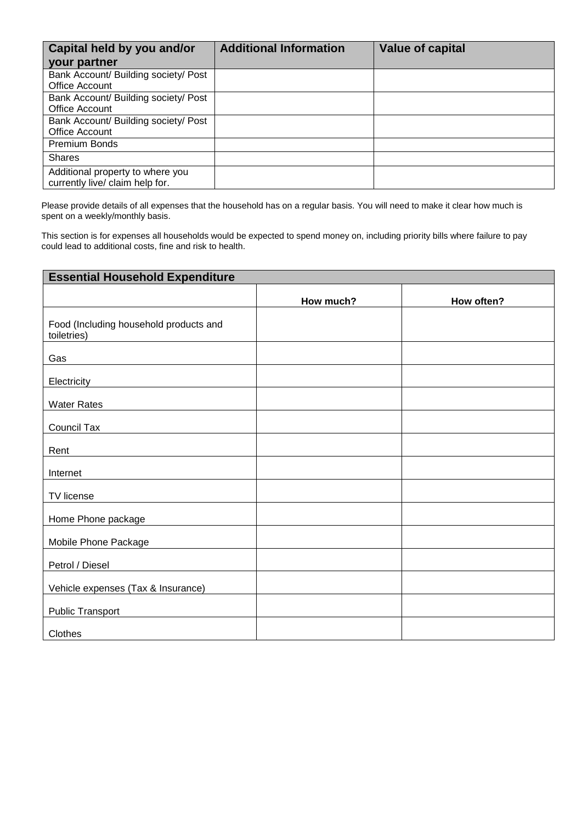| <b>Capital held by you and/or</b><br>your partner                   | <b>Additional Information</b> | <b>Value of capital</b> |
|---------------------------------------------------------------------|-------------------------------|-------------------------|
| Bank Account/ Building society/ Post<br>Office Account              |                               |                         |
| Bank Account/ Building society/ Post<br><b>Office Account</b>       |                               |                         |
| Bank Account/ Building society/ Post<br>Office Account              |                               |                         |
| <b>Premium Bonds</b>                                                |                               |                         |
| <b>Shares</b>                                                       |                               |                         |
| Additional property to where you<br>currently live/ claim help for. |                               |                         |

Please provide details of all expenses that the household has on a regular basis. You will need to make it clear how much is spent on a weekly/monthly basis.

This section is for expenses all households would be expected to spend money on, including priority bills where failure to pay could lead to additional costs, fine and risk to health.

| <b>Essential Household Expenditure</b>                |           |            |  |  |  |
|-------------------------------------------------------|-----------|------------|--|--|--|
|                                                       | How much? | How often? |  |  |  |
| Food (Including household products and<br>toiletries) |           |            |  |  |  |
| Gas                                                   |           |            |  |  |  |
| Electricity                                           |           |            |  |  |  |
| <b>Water Rates</b>                                    |           |            |  |  |  |
| Council Tax                                           |           |            |  |  |  |
| Rent                                                  |           |            |  |  |  |
| Internet                                              |           |            |  |  |  |
| TV license                                            |           |            |  |  |  |
| Home Phone package                                    |           |            |  |  |  |
| Mobile Phone Package                                  |           |            |  |  |  |
| Petrol / Diesel                                       |           |            |  |  |  |
| Vehicle expenses (Tax & Insurance)                    |           |            |  |  |  |
| <b>Public Transport</b>                               |           |            |  |  |  |
| Clothes                                               |           |            |  |  |  |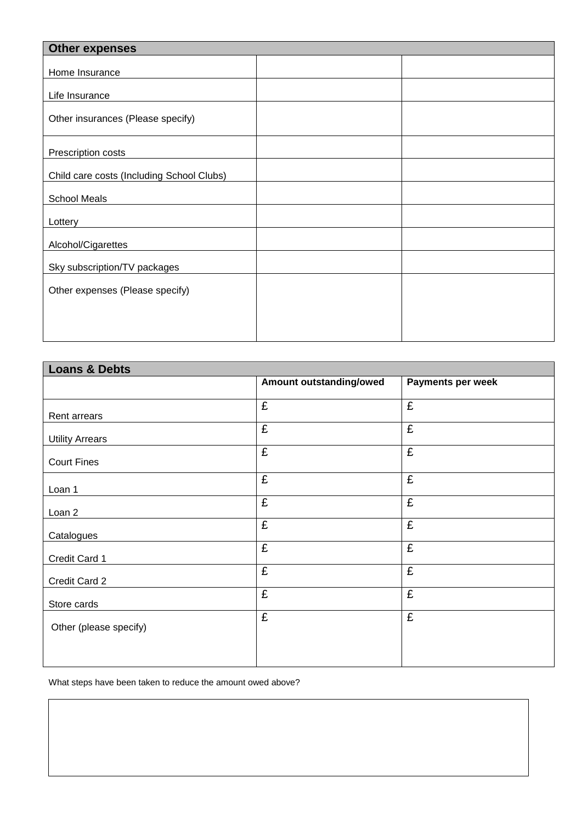| <b>Other expenses</b>                     |  |
|-------------------------------------------|--|
|                                           |  |
| Home Insurance                            |  |
| Life Insurance                            |  |
| Other insurances (Please specify)         |  |
| Prescription costs                        |  |
| Child care costs (Including School Clubs) |  |
| <b>School Meals</b>                       |  |
| Lottery                                   |  |
| Alcohol/Cigarettes                        |  |
| Sky subscription/TV packages              |  |
| Other expenses (Please specify)           |  |
|                                           |  |
|                                           |  |
|                                           |  |

| <b>Loans &amp; Debts</b> |                         |                   |  |  |  |
|--------------------------|-------------------------|-------------------|--|--|--|
|                          | Amount outstanding/owed | Payments per week |  |  |  |
|                          | £                       | £                 |  |  |  |
| Rent arrears             |                         |                   |  |  |  |
| <b>Utility Arrears</b>   | $\overline{\mathbf{f}}$ | £                 |  |  |  |
| <b>Court Fines</b>       | £                       | £                 |  |  |  |
| Loan 1                   | £                       | £                 |  |  |  |
| Loan 2                   | $\overline{\mathbf{f}}$ | £                 |  |  |  |
| Catalogues               | £                       | £                 |  |  |  |
| Credit Card 1            | £                       | £                 |  |  |  |
| Credit Card 2            | £                       | £                 |  |  |  |
| Store cards              | $\overline{f}$          | £                 |  |  |  |
| Other (please specify)   | £                       | £                 |  |  |  |
|                          |                         |                   |  |  |  |

What steps have been taken to reduce the amount owed above?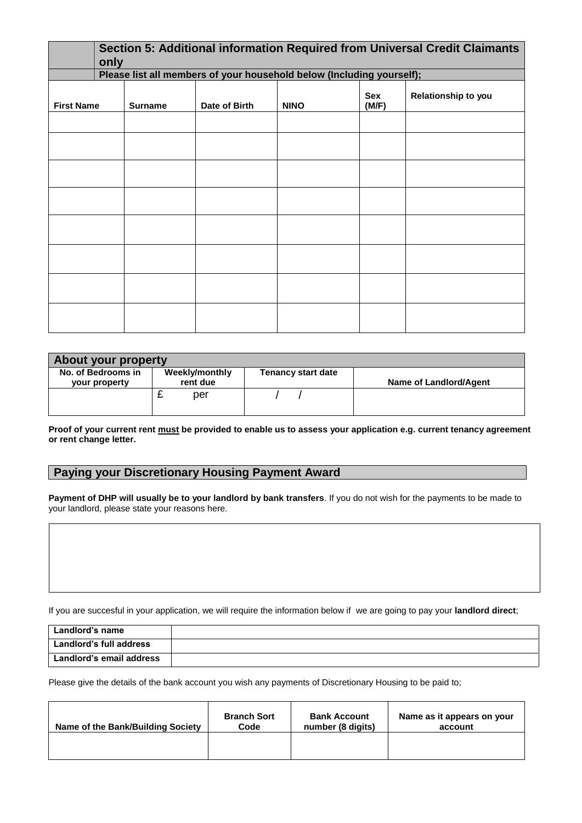|                   | Section 5: Additional information Required from Universal Credit Claimants<br>only<br>Please list all members of your household below (Including yourself); |                |               |             |              |                            |  |
|-------------------|-------------------------------------------------------------------------------------------------------------------------------------------------------------|----------------|---------------|-------------|--------------|----------------------------|--|
|                   |                                                                                                                                                             |                |               |             |              |                            |  |
| <b>First Name</b> |                                                                                                                                                             | <b>Surname</b> | Date of Birth | <b>NINO</b> | Sex<br>(M/F) | <b>Relationship to you</b> |  |
|                   |                                                                                                                                                             |                |               |             |              |                            |  |
|                   |                                                                                                                                                             |                |               |             |              |                            |  |
|                   |                                                                                                                                                             |                |               |             |              |                            |  |
|                   |                                                                                                                                                             |                |               |             |              |                            |  |
|                   |                                                                                                                                                             |                |               |             |              |                            |  |
|                   |                                                                                                                                                             |                |               |             |              |                            |  |
|                   |                                                                                                                                                             |                |               |             |              |                            |  |
|                   |                                                                                                                                                             |                |               |             |              |                            |  |

| <b>About your property</b>          |                            |                           |                        |  |  |  |  |
|-------------------------------------|----------------------------|---------------------------|------------------------|--|--|--|--|
| No. of Bedrooms in<br>your property | Weekly/monthly<br>rent due | <b>Tenancy start date</b> | Name of Landlord/Agent |  |  |  |  |
|                                     | per                        |                           |                        |  |  |  |  |

**Proof of your current rent must be provided to enable us to assess your application e.g. current tenancy agreement or rent change letter.**

## **Paying your Discretionary Housing Payment Award**

**Payment of DHP will usually be to your landlord by bank transfers**. If you do not wish for the payments to be made to your landlord, please state your reasons here.

If you are succesful in your application, we will require the information below if we are going to pay your **landlord direct**;

| Landlord's name                |  |
|--------------------------------|--|
| <b>Landlord's full address</b> |  |
| Landlord's email address       |  |

Please give the details of the bank account you wish any payments of Discretionary Housing to be paid to;

| Name of the Bank/Building Society | <b>Branch Sort</b><br><b>Bank Account</b><br>number (8 digits)<br>Code |  | Name as it appears on your<br>account |  |
|-----------------------------------|------------------------------------------------------------------------|--|---------------------------------------|--|
|                                   |                                                                        |  |                                       |  |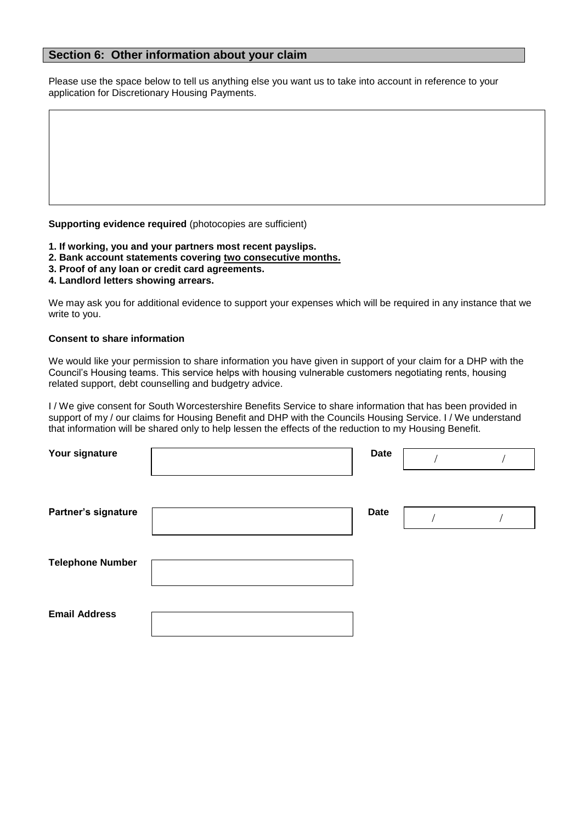## **Section 6: Other information about your claim**

Please use the space below to tell us anything else you want us to take into account in reference to your application for Discretionary Housing Payments.

**Supporting evidence required** (photocopies are sufficient)

- **1. If working, you and your partners most recent payslips.**
- **2. Bank account statements covering two consecutive months.**
- **3. Proof of any loan or credit card agreements.**
- **4. Landlord letters showing arrears.**

We may ask you for additional evidence to support your expenses which will be required in any instance that we write to you.

#### **Consent to share information**

We would like your permission to share information you have given in support of your claim for a DHP with the Council's Housing teams. This service helps with housing vulnerable customers negotiating rents, housing related support, debt counselling and budgetry advice.

I / We give consent for South Worcestershire Benefits Service to share information that has been provided in support of my / our claims for Housing Benefit and DHP with the Councils Housing Service. I / We understand that information will be shared only to help lessen the effects of the reduction to my Housing Benefit.

| Your signature          | <b>Date</b> |  |
|-------------------------|-------------|--|
|                         |             |  |
| Partner's signature     | <b>Date</b> |  |
|                         |             |  |
| <b>Telephone Number</b> |             |  |
|                         |             |  |
| <b>Email Address</b>    |             |  |